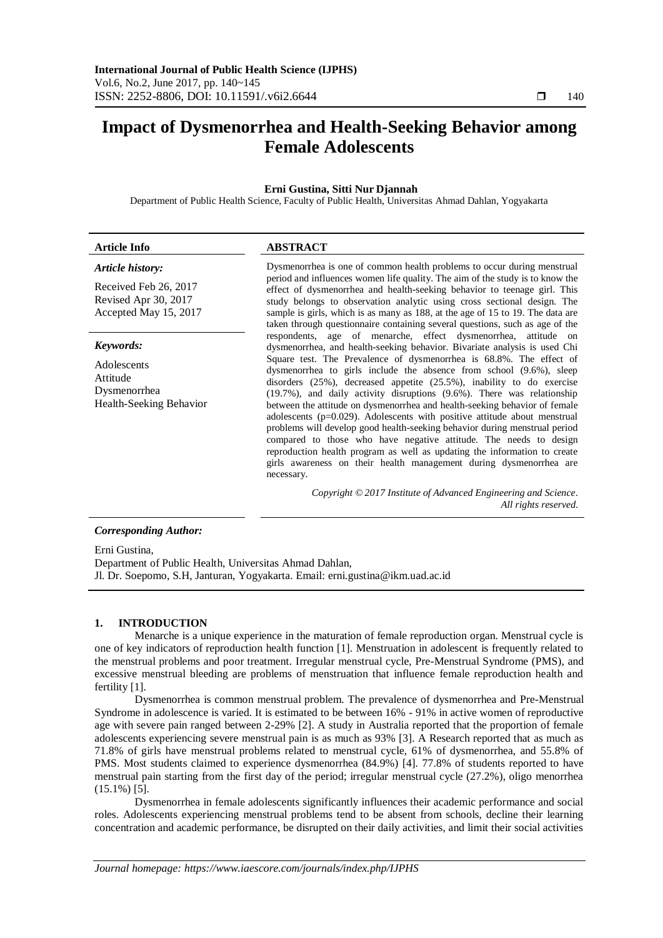# **Impact of Dysmenorrhea and Health-Seeking Behavior among Female Adolescents**

#### **Erni Gustina, Sitti Nur Djannah**

Department of Public Health Science, Faculty of Public Health, Universitas Ahmad Dahlan, Yogyakarta

## **Article Info ABSTRACT**

### *Article history:*

Received Feb 26, 2017 Revised Apr 30, 2017 Accepted May 15, 2017

#### *Keywords:*

Adolescents Attitude Dysmenorrhea Health-Seeking Behavior

Dysmenorrhea is one of common health problems to occur during menstrual period and influences women life quality. The aim of the study is to know the effect of dysmenorrhea and health-seeking behavior to teenage girl. This study belongs to observation analytic using cross sectional design. The sample is girls, which is as many as 188, at the age of 15 to 19. The data are taken through questionnaire containing several questions, such as age of the respondents, age of menarche, effect dysmenorrhea, attitude on dysmenorrhea, and health-seeking behavior. Bivariate analysis is used Chi Square test. The Prevalence of dysmenorrhea is 68.8%. The effect of dysmenorrhea to girls include the absence from school (9.6%), sleep disorders (25%), decreased appetite (25.5%), inability to do exercise (19.7%), and daily activity disruptions (9.6%). There was relationship between the attitude on dysmenorrhea and health-seeking behavior of female adolescents (p=0.029). Adolescents with positive attitude about menstrual problems will develop good health-seeking behavior during menstrual period compared to those who have negative attitude. The needs to design reproduction health program as well as updating the information to create girls awareness on their health management during dysmenorrhea are necessary.

> *Copyright © 2017 Institute of Advanced Engineering and Science. All rights reserved.*

#### *Corresponding Author:*

Erni Gustina, Department of Public Health, Universitas Ahmad Dahlan, Jl. Dr. Soepomo, S.H, Janturan, Yogyakarta. Email: erni.gustina@ikm.uad.ac.id

#### **1. INTRODUCTION**

Menarche is a unique experience in the maturation of female reproduction organ. Menstrual cycle is one of key indicators of reproduction health function [1]. Menstruation in adolescent is frequently related to the menstrual problems and poor treatment. Irregular menstrual cycle, Pre-Menstrual Syndrome (PMS), and excessive menstrual bleeding are problems of menstruation that influence female reproduction health and fertility [1].

Dysmenorrhea is common menstrual problem. The prevalence of dysmenorrhea and Pre-Menstrual Syndrome in adolescence is varied. It is estimated to be between 16% - 91% in active women of reproductive age with severe pain ranged between 2-29% [2]. A study in Australia reported that the proportion of female adolescents experiencing severe menstrual pain is as much as 93% [3]. A Research reported that as much as 71.8% of girls have menstrual problems related to menstrual cycle, 61% of dysmenorrhea, and 55.8% of PMS. Most students claimed to experience dysmenorrhea (84.9%) [4]. 77.8% of students reported to have menstrual pain starting from the first day of the period; irregular menstrual cycle (27.2%), oligo menorrhea (15.1%) [5].

Dysmenorrhea in female adolescents significantly influences their academic performance and social roles. Adolescents experiencing menstrual problems tend to be absent from schools, decline their learning concentration and academic performance, be disrupted on their daily activities, and limit their social activities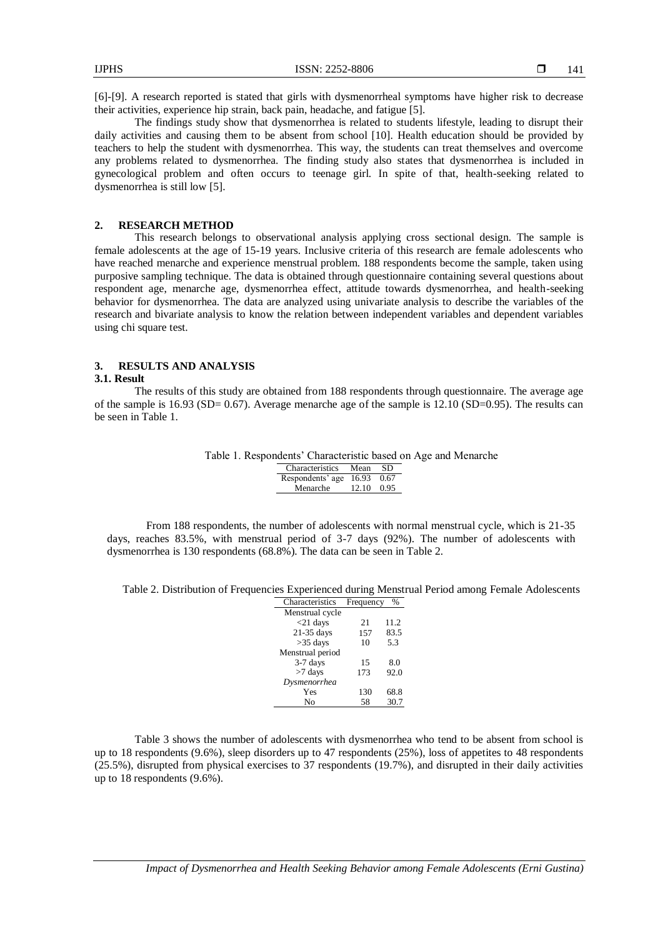[6]-[9]. A research reported is stated that girls with dysmenorrheal symptoms have higher risk to decrease their activities, experience hip strain, back pain, headache, and fatigue [5].

The findings study show that dysmenorrhea is related to students lifestyle, leading to disrupt their daily activities and causing them to be absent from school [10]. Health education should be provided by teachers to help the student with dysmenorrhea. This way, the students can treat themselves and overcome any problems related to dysmenorrhea. The finding study also states that dysmenorrhea is included in gynecological problem and often occurs to teenage girl. In spite of that, health-seeking related to dysmenorrhea is still low [5].

#### **2. RESEARCH METHOD**

This research belongs to observational analysis applying cross sectional design. The sample is female adolescents at the age of 15-19 years. Inclusive criteria of this research are female adolescents who have reached menarche and experience menstrual problem. 188 respondents become the sample, taken using purposive sampling technique. The data is obtained through questionnaire containing several questions about respondent age, menarche age, dysmenorrhea effect, attitude towards dysmenorrhea, and health-seeking behavior for dysmenorrhea. The data are analyzed using univariate analysis to describe the variables of the research and bivariate analysis to know the relation between independent variables and dependent variables using chi square test.

### **3. RESULTS AND ANALYSIS**

#### **3.1. Result**

The results of this study are obtained from 188 respondents through questionnaire. The average age of the sample is  $16.93$  (SD= 0.67). Average menarche age of the sample is  $12.10$  (SD=0.95). The results can be seen in Table 1.

Table 1. Respondents' Characteristic based on Age and Menarche

| Characteristics        | Mean  | -SD  |
|------------------------|-------|------|
| Respondents' age 16.93 |       | 0.67 |
| Menarche               | 12.10 | 0.95 |

From 188 respondents, the number of adolescents with normal menstrual cycle, which is 21-35 days, reaches 83.5%, with menstrual period of 3-7 days (92%). The number of adolescents with dysmenorrhea is 130 respondents (68.8%). The data can be seen in Table 2.

Table 2. Distribution of Frequencies Experienced during Menstrual Period among Female Adolescents

| Characteristics  | Frequency | $\frac{0}{0}$ |
|------------------|-----------|---------------|
| Menstrual cycle  |           |               |
| $<$ 21 days      | 21        | 11.2          |
| 21-35 days       | 157       | 83.5          |
| $>35$ days       | 10        | 5.3           |
| Menstrual period |           |               |
| $3-7$ days       | 15        | 8.0           |
| $>7$ days        | 173       | 92.0          |
| Dysmenorrhea     |           |               |
| Yes              | 130       | 68.8          |
| No               | 58        | 30.7          |

Table 3 shows the number of adolescents with dysmenorrhea who tend to be absent from school is up to 18 respondents (9.6%), sleep disorders up to 47 respondents (25%), loss of appetites to 48 respondents (25.5%), disrupted from physical exercises to 37 respondents (19.7%), and disrupted in their daily activities up to 18 respondents (9.6%).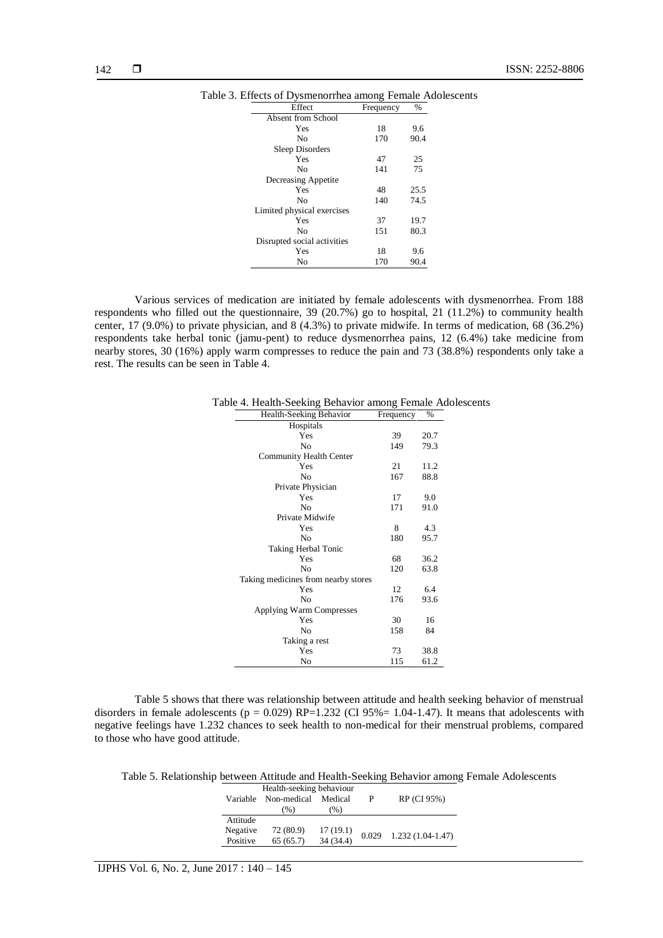| <b>Effect</b>               | Frequency | $\%$ |  |
|-----------------------------|-----------|------|--|
| Absent from School          |           |      |  |
| Yes                         | 18        | 9.6  |  |
| N <sub>0</sub>              | 170       | 90.4 |  |
| Sleep Disorders             |           |      |  |
| Yes                         | 47        | 25   |  |
| N <sub>0</sub>              | 141       | 75   |  |
| Decreasing Appetite         |           |      |  |
| Yes                         | 48        | 25.5 |  |
| Nο                          | 140       | 74.5 |  |
| Limited physical exercises  |           |      |  |
| Yes                         | 37        | 19.7 |  |
| N <sub>0</sub>              | 151       | 80.3 |  |
| Disrupted social activities |           |      |  |
| Yes                         | 18        | 9.6  |  |
| No                          | 170       | 90.4 |  |

|  |           |                                  | Table 3. Effects of Dysmenorrhea among Female Adolescents |
|--|-----------|----------------------------------|-----------------------------------------------------------|
|  | $Eff$ oot | $E_{\text{reconstruction}}$ $0/$ |                                                           |

Various services of medication are initiated by female adolescents with dysmenorrhea. From 188 respondents who filled out the questionnaire, 39 (20.7%) go to hospital, 21 (11.2%) to community health center, 17 (9.0%) to private physician, and 8 (4.3%) to private midwife. In terms of medication, 68 (36.2%) respondents take herbal tonic (jamu-pent) to reduce dysmenorrhea pains, 12 (6.4%) take medicine from nearby stores, 30 (16%) apply warm compresses to reduce the pain and 73 (38.8%) respondents only take a rest. The results can be seen in Table 4.

| U                                   | ັ         |      |
|-------------------------------------|-----------|------|
| Health-Seeking Behavior             | Frequency | %    |
| Hospitals                           |           |      |
| Yes                                 | 39        | 20.7 |
| No                                  | 149       | 79.3 |
| <b>Community Health Center</b>      |           |      |
| Yes                                 | 21        | 11.2 |
| No                                  | 167       | 88.8 |
| Private Physician                   |           |      |
| Yes                                 | 17        | 9.0  |
| N <sub>0</sub>                      | 171       | 91.0 |
| Private Midwife                     |           |      |
| Yes                                 | 8         | 4.3  |
| No                                  | 180       | 95.7 |
| Taking Herbal Tonic                 |           |      |
| Yes                                 | 68        | 36.2 |
| N <sub>0</sub>                      | 120       | 63.8 |
| Taking medicines from nearby stores |           |      |
| Yes                                 | 12        | 6.4  |
| N <sub>0</sub>                      | 176       | 93.6 |
| <b>Applying Warm Compresses</b>     |           |      |
| Yes                                 | 30        | 16   |
| No                                  | 158       | 84   |
| Taking a rest                       |           |      |
| Yes                                 | 73        | 38.8 |
| No                                  | 115       | 61.2 |

Table 4. Health-Seeking Behavior among Female Adolescents

Table 5 shows that there was relationship between attitude and health seeking behavior of menstrual disorders in female adolescents ( $p = 0.029$ ) RP=1.232 (CI 95%= 1.04-1.47). It means that adolescents with negative feelings have 1.232 chances to seek health to non-medical for their menstrual problems, compared to those who have good attitude.

Table 5. Relationship between Attitude and Health-Seeking Behavior among Female Adolescents

| Health-seeking behaviour |             |           |       |                    |
|--------------------------|-------------|-----------|-------|--------------------|
| Variable                 | Non-medical | Medical   | P     | RP (CI 95%)        |
|                          | (%)         | (% )      |       |                    |
| Attitude                 |             |           |       |                    |
| Negative                 | 72 (80.9)   | 17(19.1)  | 0.029 | $1.232(1.04-1.47)$ |
| Positive                 | 65(65.7)    | 34 (34.4) |       |                    |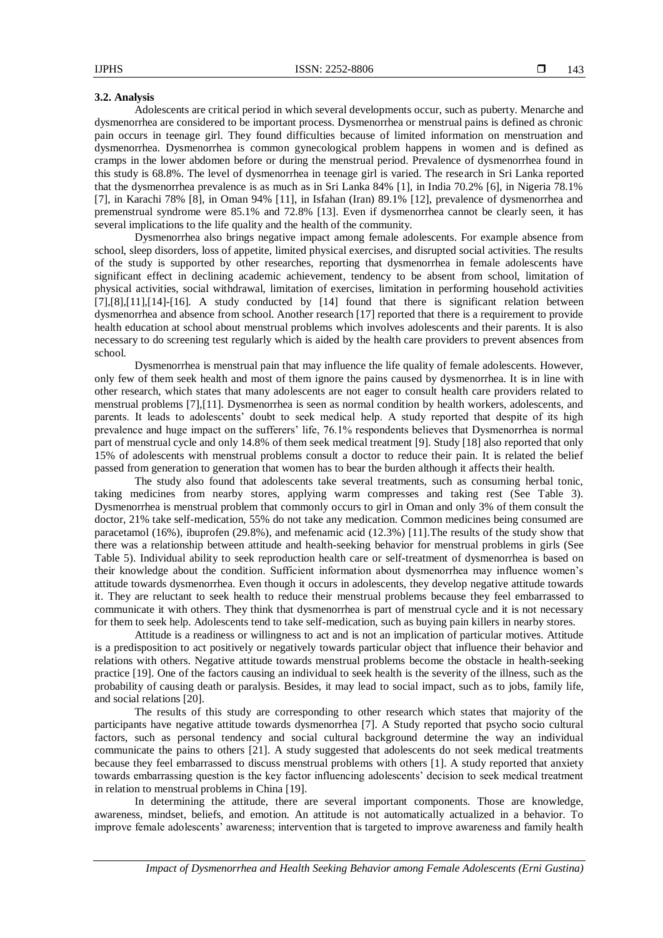#### **3.2. Analysis**

Adolescents are critical period in which several developments occur, such as puberty. Menarche and dysmenorrhea are considered to be important process. Dysmenorrhea or menstrual pains is defined as chronic pain occurs in teenage girl. They found difficulties because of limited information on menstruation and dysmenorrhea. Dysmenorrhea is common gynecological problem happens in women and is defined as cramps in the lower abdomen before or during the menstrual period. Prevalence of dysmenorrhea found in this study is 68.8%. The level of dysmenorrhea in teenage girl is varied. The research in Sri Lanka reported that the dysmenorrhea prevalence is as much as in Sri Lanka 84% [1], in India 70.2% [6], in Nigeria 78.1% [7], in Karachi 78% [8], in Oman 94% [11], in Isfahan (Iran) 89.1% [12], prevalence of dysmenorrhea and premenstrual syndrome were 85.1% and 72.8% [13]. Even if dysmenorrhea cannot be clearly seen, it has several implications to the life quality and the health of the community.

Dysmenorrhea also brings negative impact among female adolescents. For example absence from school, sleep disorders, loss of appetite, limited physical exercises, and disrupted social activities. The results of the study is supported by other researches, reporting that dysmenorrhea in female adolescents have significant effect in declining academic achievement, tendency to be absent from school, limitation of physical activities, social withdrawal, limitation of exercises, limitation in performing household activities  $[7]$ , $[8]$ , $[11]$ , $[14]$ - $[16]$ . A study conducted by  $[14]$  found that there is significant relation between dysmenorrhea and absence from school. Another research [17] reported that there is a requirement to provide health education at school about menstrual problems which involves adolescents and their parents. It is also necessary to do screening test regularly which is aided by the health care providers to prevent absences from school.

Dysmenorrhea is menstrual pain that may influence the life quality of female adolescents. However, only few of them seek health and most of them ignore the pains caused by dysmenorrhea. It is in line with other research, which states that many adolescents are not eager to consult health care providers related to menstrual problems [7],[11]. Dysmenorrhea is seen as normal condition by health workers, adolescents, and parents. It leads to adolescents' doubt to seek medical help. A study reported that despite of its high prevalence and huge impact on the sufferers' life, 76.1% respondents believes that Dysmenorrhea is normal part of menstrual cycle and only 14.8% of them seek medical treatment [9]. Study [18] also reported that only 15% of adolescents with menstrual problems consult a doctor to reduce their pain. It is related the belief passed from generation to generation that women has to bear the burden although it affects their health.

The study also found that adolescents take several treatments, such as consuming herbal tonic, taking medicines from nearby stores, applying warm compresses and taking rest (See Table 3). Dysmenorrhea is menstrual problem that commonly occurs to girl in Oman and only 3% of them consult the doctor, 21% take self-medication, 55% do not take any medication. Common medicines being consumed are paracetamol (16%), ibuprofen (29.8%), and mefenamic acid (12.3%) [11].The results of the study show that there was a relationship between attitude and health-seeking behavior for menstrual problems in girls (See Table 5). Individual ability to seek reproduction health care or self-treatment of dysmenorrhea is based on their knowledge about the condition. Sufficient information about dysmenorrhea may influence women's attitude towards dysmenorrhea. Even though it occurs in adolescents, they develop negative attitude towards it. They are reluctant to seek health to reduce their menstrual problems because they feel embarrassed to communicate it with others. They think that dysmenorrhea is part of menstrual cycle and it is not necessary for them to seek help. Adolescents tend to take self-medication, such as buying pain killers in nearby stores.

Attitude is a readiness or willingness to act and is not an implication of particular motives. Attitude is a predisposition to act positively or negatively towards particular object that influence their behavior and relations with others. Negative attitude towards menstrual problems become the obstacle in health-seeking practice [19]. One of the factors causing an individual to seek health is the severity of the illness, such as the probability of causing death or paralysis. Besides, it may lead to social impact, such as to jobs, family life, and social relations [20].

The results of this study are corresponding to other research which states that majority of the participants have negative attitude towards dysmenorrhea [7]. A Study reported that psycho socio cultural factors, such as personal tendency and social cultural background determine the way an individual communicate the pains to others [21]. A study suggested that adolescents do not seek medical treatments because they feel embarrassed to discuss menstrual problems with others [1]. A study reported that anxiety towards embarrassing question is the key factor influencing adolescents' decision to seek medical treatment in relation to menstrual problems in China [19].

In determining the attitude, there are several important components. Those are knowledge, awareness, mindset, beliefs, and emotion. An attitude is not automatically actualized in a behavior. To improve female adolescents' awareness; intervention that is targeted to improve awareness and family health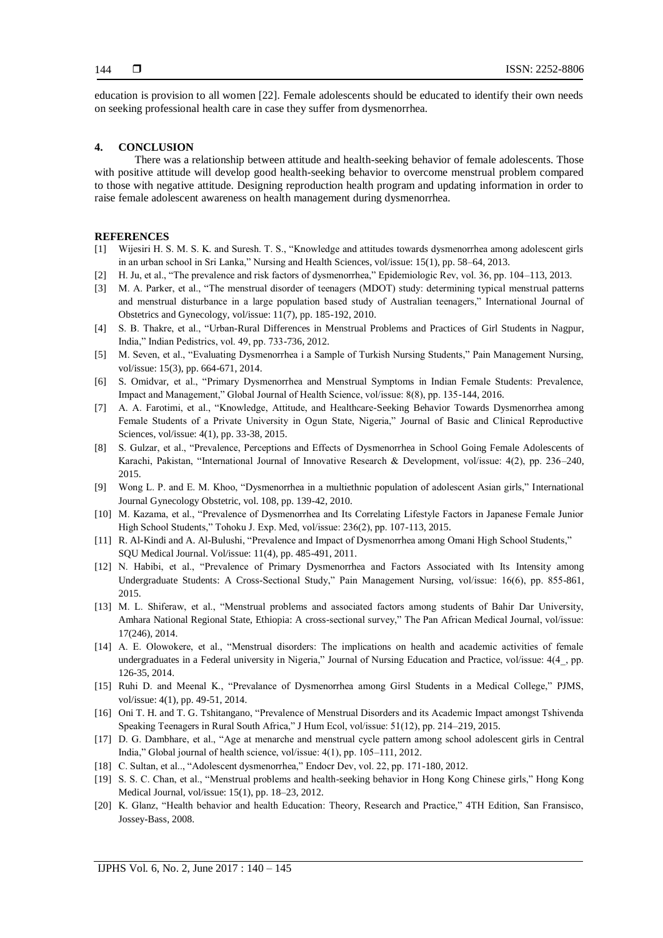education is provision to all women [22]. Female adolescents should be educated to identify their own needs on seeking professional health care in case they suffer from dysmenorrhea.

#### **4. CONCLUSION**

There was a relationship between attitude and health-seeking behavior of female adolescents. Those with positive attitude will develop good health-seeking behavior to overcome menstrual problem compared to those with negative attitude. Designing reproduction health program and updating information in order to raise female adolescent awareness on health management during dysmenorrhea.

#### **REFERENCES**

- [1] Wijesiri H. S. M. S. K. and Suresh. T. S., "Knowledge and attitudes towards dysmenorrhea among adolescent girls in an urban school in Sri Lanka," Nursing and Health Sciences, vol/issue: 15(1), pp. 58–64, 2013.
- [2] H. Ju, et al., "The prevalence and risk factors of dysmenorrhea," Epidemiologic Rev, vol. 36, pp. 104–113, 2013.
- [3] M. A. Parker, et al., "The menstrual disorder of teenagers (MDOT) study: determining typical menstrual patterns and menstrual disturbance in a large population based study of Australian teenagers," International Journal of Obstetrics and Gynecology, vol/issue: 11(7), pp. 185-192, 2010.
- [4] S. B. Thakre, et al., "Urban-Rural Differences in Menstrual Problems and Practices of Girl Students in Nagpur, India," Indian Pedistrics, vol. 49, pp. 733-736, 2012.
- [5] M. Seven, et al., "Evaluating Dysmenorrhea i a Sample of Turkish Nursing Students," Pain Management Nursing, vol/issue: 15(3), pp. 664-671, 2014.
- [6] S. Omidvar, et al., "Primary Dysmenorrhea and Menstrual Symptoms in Indian Female Students: Prevalence, Impact and Management," Global Journal of Health Science, vol/issue: 8(8), pp. 135-144, 2016.
- [7] A. A. Farotimi, et al., "Knowledge, Attitude, and Healthcare-Seeking Behavior Towards Dysmenorrhea among Female Students of a Private University in Ogun State, Nigeria," Journal of Basic and Clinical Reproductive Sciences, vol/issue: 4(1), pp. 33-38, 2015.
- [8] S. Gulzar, et al., "Prevalence, Perceptions and Effects of Dysmenorrhea in School Going Female Adolescents of Karachi, Pakistan, "International Journal of Innovative Research & Development, vol/issue: 4(2), pp. 236–240, 2015.
- [9] Wong L. P. and E. M. Khoo, "Dysmenorrhea in a multiethnic population of adolescent Asian girls," International Journal Gynecology Obstetric, vol. 108, pp. 139-42, 2010.
- [10] M. Kazama, et al., "Prevalence of Dysmenorrhea and Its Correlating Lifestyle Factors in Japanese Female Junior High School Students," Tohoku J. Exp. Med, vol/issue: 236(2), pp. 107-113, 2015.
- [11] R. Al-Kindi and A. Al-Bulushi, "Prevalence and Impact of Dysmenorrhea among Omani High School Students," SQU Medical Journal. Vol/issue: 11(4), pp. 485-491, 2011.
- [12] N. Habibi, et al., "Prevalence of Primary Dysmenorrhea and Factors Associated with Its Intensity among Undergraduate Students: A Cross-Sectional Study," Pain Management Nursing, vol/issue: 16(6), pp. 855-861, 2015.
- [13] M. L. Shiferaw, et al., "Menstrual problems and associated factors among students of Bahir Dar University, Amhara National Regional State, Ethiopia: A cross-sectional survey," The Pan African Medical Journal, vol/issue: 17(246), 2014.
- [14] A. E. Olowokere, et al., "Menstrual disorders: The implications on health and academic activities of female undergraduates in a Federal university in Nigeria," Journal of Nursing Education and Practice, vol/issue: 4(4\_, pp. 126-35, 2014.
- [15] Ruhi D. and Meenal K., "Prevalance of Dysmenorrhea among Girsl Students in a Medical College," PJMS, vol/issue: 4(1), pp. 49-51, 2014.
- [16] Oni T. H. and T. G. Tshitangano, "Prevalence of Menstrual Disorders and its Academic Impact amongst Tshivenda Speaking Teenagers in Rural South Africa," J Hum Ecol, vol/issue: 51(12), pp. 214–219, 2015.
- [17] D. G. Dambhare, et al., "Age at menarche and menstrual cycle pattern among school adolescent girls in Central India," Global journal of health science, vol/issue: 4(1), pp. 105–111, 2012.
- [18] C. Sultan, et al.., "Adolescent dysmenorrhea," Endocr Dev, vol. 22, pp. 171-180, 2012.
- [19] S. S. C. Chan, et al., "Menstrual problems and health-seeking behavior in Hong Kong Chinese girls," Hong Kong Medical Journal, vol/issue: 15(1), pp. 18–23, 2012.
- [20] K. Glanz, "Health behavior and health Education: Theory, Research and Practice," 4TH Edition, San Fransisco, Jossey-Bass, 2008.